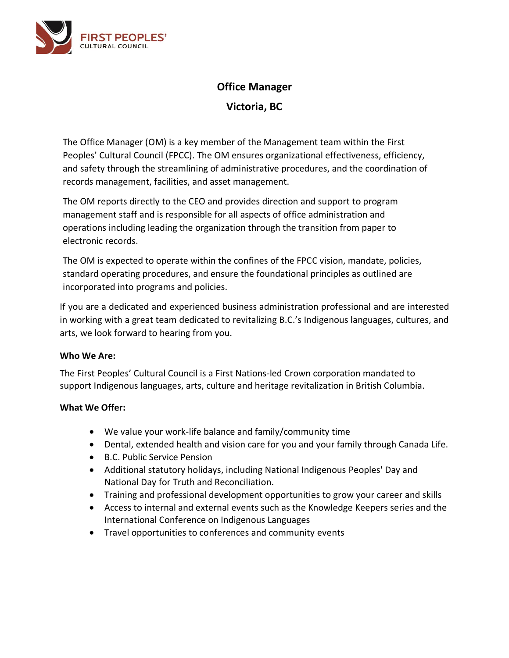

# **Office Manager**

**Victoria, BC**

The Office Manager (OM) is a key member of the Management team within the First Peoples' Cultural Council (FPCC). The OM ensures organizational effectiveness, efficiency, and safety through the streamlining of administrative procedures, and the coordination of records management, facilities, and asset management.

The OM reports directly to the CEO and provides direction and support to program management staff and is responsible for all aspects of office administration and operations including leading the organization through the transition from paper to electronic records.

The OM is expected to operate within the confines of the FPCC vision, mandate, policies, standard operating procedures, and ensure the foundational principles as outlined are incorporated into programs and policies.

If you are a dedicated and experienced business administration professional and are interested in working with a great team dedicated to revitalizing B.C.'s Indigenous languages, cultures, and arts, we look forward to hearing from you.

# **Who We Are:**

The First Peoples' Cultural Council is a First Nations-led Crown corporation mandated to support Indigenous languages, arts, culture and heritage revitalization in British Columbia.

# **What We Offer:**

- We value your work-life balance and family/community time
- Dental, extended health and vision care for you and your family through Canada Life.
- B.C. Public Service Pension
- Additional statutory holidays, including National Indigenous Peoples' Day and National Day for Truth and Reconciliation.
- Training and professional development opportunities to grow your career and skills
- Access to internal and external events such as the Knowledge Keepers series and the International Conference on Indigenous Languages
- Travel opportunities to conferences and community events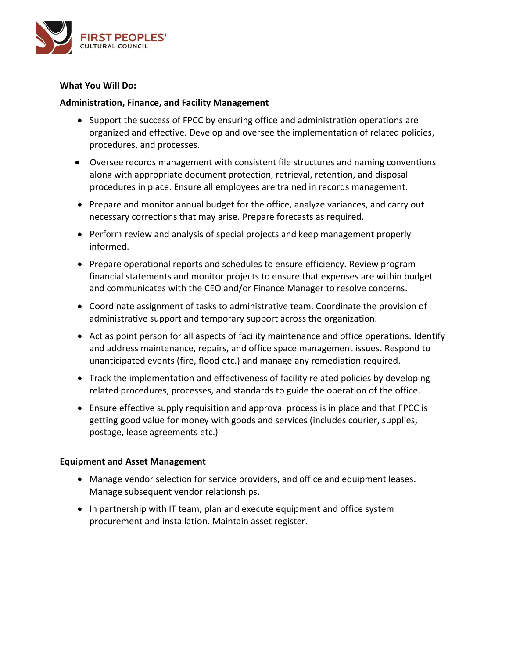

## **What You Will Do:**

## **Administration, Finance, and Facility Management**

- Support the success of FPCC by ensuring office and administration operations are organized and effective. Develop and oversee the implementation of related policies, procedures, and processes.
- Oversee records management with consistent file structures and naming conventions along with appropriate document protection, retrieval, retention, and disposal procedures in place. Ensure all employees are trained in records management.
- Prepare and monitor annual budget for the office, analyze variances, and carry out necessary corrections that may arise. Prepare forecasts as required.
- Perform review and analysis of special projects and keep management properly informed.
- Prepare operational reports and schedules to ensure efficiency. Review program financial statements and monitor projects to ensure that expenses are within budget and communicates with the CEO and/or Finance Manager to resolve concerns.
- Coordinate assignment of tasks to administrative team. Coordinate the provision of administrative support and temporary support across the organization.
- Act as point person for all aspects of facility maintenance and office operations. Identify and address maintenance, repairs, and office space management issues. Respond to unanticipated events (fire, flood etc.) and manage any remediation required.
- Track the implementation and effectiveness of facility related policies by developing related procedures, processes, and standards to guide the operation of the office.
- Ensure effective supply requisition and approval process is in place and that FPCC is getting good value for money with goods and services (includes courier, supplies, postage, lease agreements etc.)

# **Equipment and Asset Management**

- Manage vendor selection for service providers, and office and equipment leases. Manage subsequent vendor relationships.
- In partnership with IT team, plan and execute equipment and office system procurement and installation. Maintain asset register.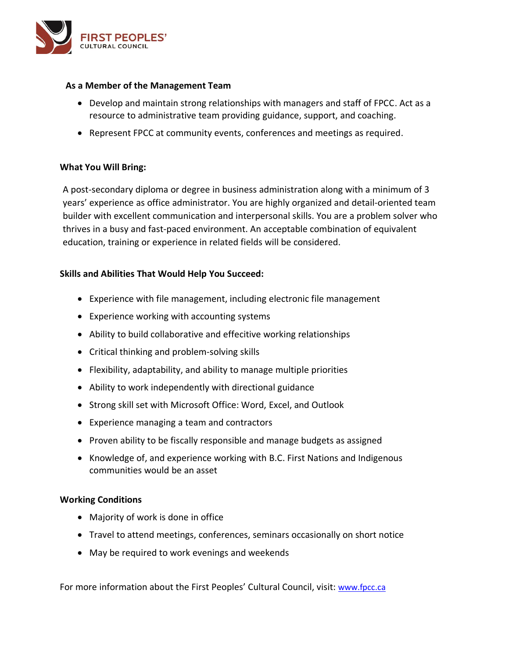

#### **As a Member of the Management Team**

- Develop and maintain strong relationships with managers and staff of FPCC. Act as a resource to administrative team providing guidance, support, and coaching.
- Represent FPCC at community events, conferences and meetings as required.

# **What You Will Bring:**

A post-secondary diploma or degree in business administration along with a minimum of 3 years' experience as office administrator. You are highly organized and detail-oriented team builder with excellent communication and interpersonal skills. You are a problem solver who thrives in a busy and fast-paced environment. An acceptable combination of equivalent education, training or experience in related fields will be considered.

# **Skills and Abilities That Would Help You Succeed:**

- Experience with file management, including electronic file management
- Experience working with accounting systems
- Ability to build collaborative and effecitive working relationships
- Critical thinking and problem-solving skills
- Flexibility, adaptability, and ability to manage multiple priorities
- Ability to work independently with directional guidance
- Strong skill set with Microsoft Office: Word, Excel, and Outlook
- Experience managing a team and contractors
- Proven ability to be fiscally responsible and manage budgets as assigned
- Knowledge of, and experience working with B.C. First Nations and Indigenous communities would be an asset

# **Working Conditions**

- Majority of work is done in office
- Travel to attend meetings, conferences, seminars occasionally on short notice
- May be required to work evenings and weekends

For more information about the First Peoples' Cultural Council, visit: [www.fpcc.ca](http://www.fpcc.ca/)